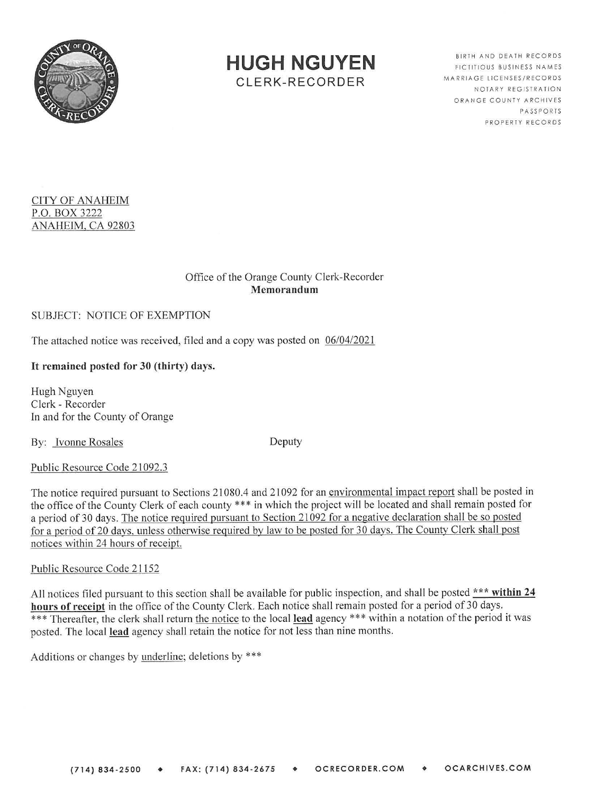

**HUGH NGUYEN**  CLERK-RECORDER

BIRTH AND DEATH RECORDS FICTITIOUS BUSINESS NAMES MARRIAGE LICENSES/RECORDS NOTARY REGISTRATION ORANGE COUNTY ARCHIVES PASSPORTS PROPERTY RECORDS

# CITY OF ANAHEIM P.O. BOX 3222 ANAHEIM, CA 92803

### Office of the Orange County Clerk-Recorder **Memorandum**

## SUBJECT: NOTICE OF EXEMPTION

The attached notice was received, filed and a copy was posted on  $06/04/2021$ 

## It **remained posted for 30 (thirty) days.**

Hugh Nguyen Clerk - Recorder ln and for the County of Orange

By: Ivonne Rosales Deputy

### Public Resource Code 21092.3

The notice required pursuant to Sections 21080.4 and 21092 for an environmental impact report shall be posted in the office of the County Clerk of each county \*\*\* in which the project will be located and shall remain posted for a period of 30 days. The notice required pursuant to Section 21092 for a negative declaration shall be so posted for a period of20 days, unless otherwise required by law to be posted for 30 days. The County Clerk shall post notices within 24 hours of receipt.

### Public Resource Code 21152

All notices filed pursuant to this section shall be available for public inspection, and shall be posted \*\*\* **within 24 hours of receipt** in the office of the County Clerk. Each notice shall remain posted for a period of 30 days. \*\*\* Thereafter, the clerk shall return the notice to the local **lead** agency \*\*\* within a notation of the period it was posted. The local **lead** agency shall retain the notice for not less than nine months.

Additions or changes by underline; deletions by \*\*\*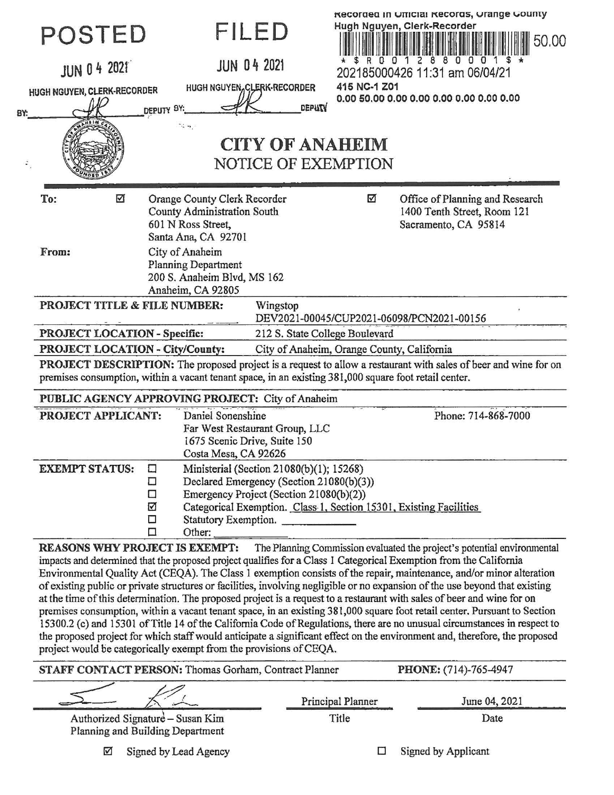| 8Y. | POSTED<br><b>JUN 0 4 2021</b><br>HUGH NGUYEN, CLERK-RECORDER                                                                                                                                                                                                                                                                                                                                                                                                                                                                                                                                                                                                                                                                                                                                                                                                                                                                                                                                                                                                                                                                                                    | FILED<br><b>JUN 04 2021</b><br>HUGH NGUYEN, CLERK-RECORDER<br><b>DEPUTY</b><br>DEPUTY BY:<br>$\sim$ $\sim$<br><b>CITY OF ANAHEIM</b><br>NOTICE OF EXEMPTION                                                   | Recorded in Unicial Records, Urange County<br>Hugh Nguyen, Clerk-Recorder<br>50.00<br>1 2 8 8 0 0 0<br>R D D<br>202185000426 11:31 am 06/04/21<br>415 NC-1 Z01 |  |  |
|-----|-----------------------------------------------------------------------------------------------------------------------------------------------------------------------------------------------------------------------------------------------------------------------------------------------------------------------------------------------------------------------------------------------------------------------------------------------------------------------------------------------------------------------------------------------------------------------------------------------------------------------------------------------------------------------------------------------------------------------------------------------------------------------------------------------------------------------------------------------------------------------------------------------------------------------------------------------------------------------------------------------------------------------------------------------------------------------------------------------------------------------------------------------------------------|---------------------------------------------------------------------------------------------------------------------------------------------------------------------------------------------------------------|----------------------------------------------------------------------------------------------------------------------------------------------------------------|--|--|
|     | ☑<br>To:<br>From:                                                                                                                                                                                                                                                                                                                                                                                                                                                                                                                                                                                                                                                                                                                                                                                                                                                                                                                                                                                                                                                                                                                                               | Orange County Clerk Recorder<br>County Administration South<br>601 N Ross Street,<br>Santa Ana, CA 92701<br>City of Anaheim<br><b>Planning Department</b><br>200 S. Anaheim Blvd, MS 162<br>Anaheim, CA 92805 | ☑<br>Office of Planning and Research<br>1400 Tenth Street, Room 121<br>Sacramento, CA 95814                                                                    |  |  |
|     | PROJECT TITLE & FILE NUMBER:<br>Wingstop                                                                                                                                                                                                                                                                                                                                                                                                                                                                                                                                                                                                                                                                                                                                                                                                                                                                                                                                                                                                                                                                                                                        |                                                                                                                                                                                                               |                                                                                                                                                                |  |  |
|     |                                                                                                                                                                                                                                                                                                                                                                                                                                                                                                                                                                                                                                                                                                                                                                                                                                                                                                                                                                                                                                                                                                                                                                 | DEV2021-00045/CUP2021-06098/PCN2021-00156<br><b>PROJECT LOCATION - Specific:</b><br>212 S. State College Boulevard                                                                                            |                                                                                                                                                                |  |  |
|     | <b>PROJECT LOCATION - City/County:</b><br>City of Anaheim, Orange County, California                                                                                                                                                                                                                                                                                                                                                                                                                                                                                                                                                                                                                                                                                                                                                                                                                                                                                                                                                                                                                                                                            |                                                                                                                                                                                                               |                                                                                                                                                                |  |  |
|     | PROJECT DESCRIPTION: The proposed project is a request to allow a restaurant with sales of beer and wine for on<br>premises consumption, within a vacant tenant space, in an existing 381,000 square foot retail center.<br>PUBLIC AGENCY APPROVING PROJECT: City of Anaheim                                                                                                                                                                                                                                                                                                                                                                                                                                                                                                                                                                                                                                                                                                                                                                                                                                                                                    |                                                                                                                                                                                                               |                                                                                                                                                                |  |  |
|     | PROJECT APPLICANT:                                                                                                                                                                                                                                                                                                                                                                                                                                                                                                                                                                                                                                                                                                                                                                                                                                                                                                                                                                                                                                                                                                                                              | Daniel Sonenshine<br>Far West Restaurant Group, LLC<br>1675 Scenic Drive, Suite 150<br>Costa Mesa, CA 92626                                                                                                   | Phone: 714-868-7000                                                                                                                                            |  |  |
|     | <b>EXEMPT STATUS:</b>                                                                                                                                                                                                                                                                                                                                                                                                                                                                                                                                                                                                                                                                                                                                                                                                                                                                                                                                                                                                                                                                                                                                           | Ministerial (Section 21080(b)(1); 15268)<br>口<br>Declared Emergency (Section 21080(b)(3))<br>□<br>Emergency Project (Section 21080(b)(2))<br>□<br>☑<br>Statutory Exemption.<br>□<br>□<br>Other:               | Categorical Exemption. Class 1, Section 15301, Existing Facilities                                                                                             |  |  |
|     | REASONS WHY PROJECT IS EXEMPT: The Planning Commission evaluated the project's potential environmental<br>impacts and determined that the proposed project qualifies for a Class I Categorical Exemption from the California<br>Environmental Quality Act (CEQA). The Class 1 exemption consists of the repair, maintenance, and/or minor alteration<br>of existing public or private structures or facilities, involving negligible or no expansion of the use beyond that existing<br>at the time of this determination. The proposed project is a request to a restaurant with sales of beer and wine for on<br>premises consumption, within a vacant tenant space, in an existing 381,000 square foot retail center. Pursuant to Section<br>15300.2 (c) and 15301 of Title 14 of the California Code of Regulations, there are no unusual circumstances in respect to<br>the proposed project for which staff would anticipate a significant effect on the environment and, therefore, the proposed<br>project would be categorically exempt from the provisions of CEQA.<br>PHONE: (714)-765-4947<br>STAFF CONTACT PERSON: Thomas Gorham, Contract Planner |                                                                                                                                                                                                               |                                                                                                                                                                |  |  |
|     |                                                                                                                                                                                                                                                                                                                                                                                                                                                                                                                                                                                                                                                                                                                                                                                                                                                                                                                                                                                                                                                                                                                                                                 |                                                                                                                                                                                                               |                                                                                                                                                                |  |  |

|                                                                      | Principal Planner | June 04, 2021 |
|----------------------------------------------------------------------|-------------------|---------------|
| Authorized Signature – Susan Kim<br>Planning and Building Department | Title             | Date          |

Signed by Lead Agency  $\triangledown$ 

Signed by Applicant  $\Box$